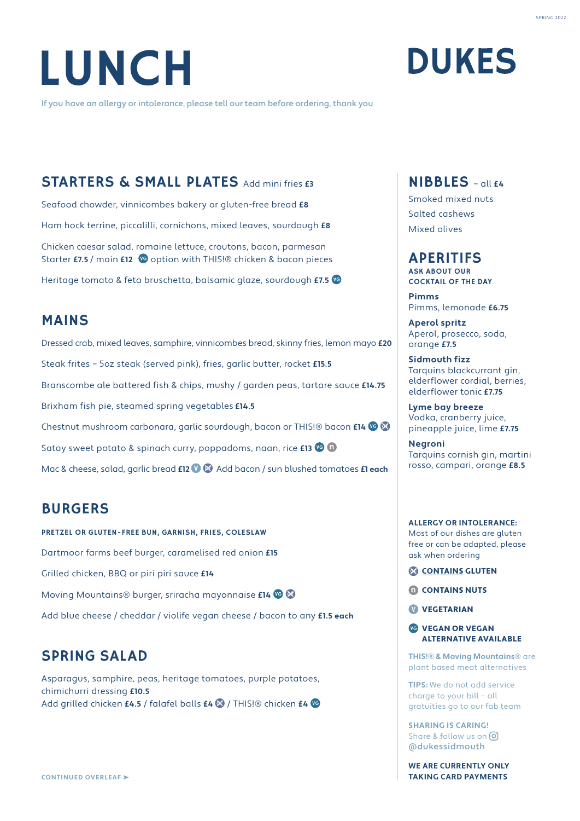# LUNCH

If you have an allergy or intolerance, please tell our team before ordering, thank you

### NIBBLES – all **£4**

**DUKES** 

Smoked mixed nuts Salted cashews Mixed olives

### APERITIFS

ASK ABOUT OUR COCKTAIL OF THE DAY

**Pimms** Pimms, lemonade **£6.75**

**Aperol spritz** Aperol, prosecco, soda, orange **£7.5**

**Sidmouth fizz** Tarquins blackcurrant gin, elderflower cordial, berries, elderflower tonic **£7.75**

**Lyme bay breeze** Vodka, cranberry juice, pineapple juice, lime **£7.75**

**Negroni** Tarquins cornish gin, martini rosso, campari, orange **£8.5**

#### **ALLERGY OR INTOLERANCE:**  Most of our dishes are gluten

free or can be adapted, please ask when ordering

- CONTAINS GLUTEN
- **CONTAINS NUTS**

**W** VEGETARIAN

**VEGAN OR VEGAN** ALTERNATIVE AVAILABLE

**THIS!® & Moving Mountains®** are plant based meat alternatives

**TIPS:** We do not add service charge to your bill – all gratuities go to our fab team

**SHARING IS CARING!**  Share & follow us on  $\boxed{0}$ @dukessidmouth

**WE ARE CURRENTLY ONLY TAKING CARD PAYMENTS**

### STARTERS & SMALL PLATES Add mini fries **£3**

Seafood chowder, vinnicombes bakery or gluten-free bread **£8** Ham hock terrine, piccalilli, cornichons, mixed leaves, sourdough **£8** Chicken caesar salad, romaine lettuce, croutons, bacon, parmesan Starter **£7.5** / main £12 <sup>to</sup> option with THIS!® chicken & bacon pieces Heritage tomato & feta bruschetta, balsamic glaze, sourdough **£7.5**

### MAINS

Dressed crab, mixed leaves, samphire, vinnicombes bread, skinny fries, lemon mayo **£20** Steak frites – 5oz steak (served pink), fries, garlic butter, rocket **£15.5** Branscombe ale battered fish & chips, mushy / garden peas, tartare sauce **£14.75** Brixham fish pie, steamed spring vegetables **£14.5** Chestnut mushroom carbonara, garlic sourdough, bacon or THIS!® bacon **£14** Satay sweet potato & spinach curry, poppadoms, naan, rice **£13 40** Mac & cheese, salad, garlic bread **£12 <sup>0</sup>**  $\bullet$  Add bacon / sun blushed tomatoes **£1 each** 

## BURGERS

PRETZEL OR GLUTEN-FREE BUN, GARNISH, FRIES, COLESLAW Dartmoor farms beef burger, caramelised red onion **£15** Grilled chicken, BBQ or piri piri sauce **£14** Moving Mountains® burger, sriracha mayonnaise **£14** Add blue cheese / cheddar / violife vegan cheese / bacon to any **£1.5 each**

## SPRING SALAD

Asparagus, samphire, peas, heritage tomatoes, purple potatoes, chimichurri dressing **£10.5** Add grilled chicken **£4.5** / falafel balls **£4** / THIS!® chicken **£4**